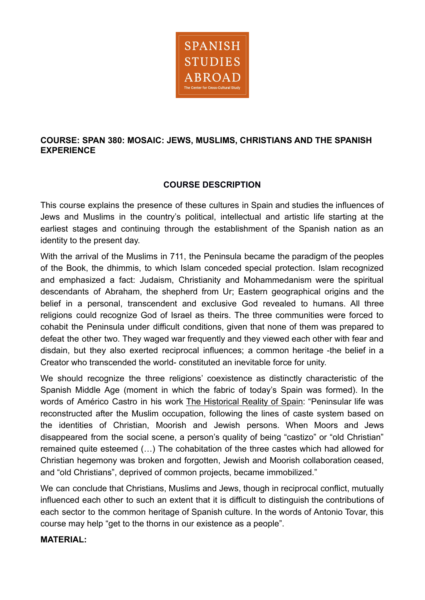

## **COURSE: SPAN 380: MOSAIC: JEWS, MUSLIMS, CHRISTIANS AND THE SPANISH EXPERIENCE**

## **COURSE DESCRIPTION**

This course explains the presence of these cultures in Spain and studies the influences of Jews and Muslims in the country's political, intellectual and artistic life starting at the earliest stages and continuing through the establishment of the Spanish nation as an identity to the present day.

With the arrival of the Muslims in 711, the Peninsula became the paradigm of the peoples of the Book, the dhimmis, to which Islam conceded special protection. Islam recognized and emphasized a fact: Judaism, Christianity and Mohammedanism were the spiritual descendants of Abraham, the shepherd from Ur; Eastern geographical origins and the belief in a personal, transcendent and exclusive God revealed to humans. All three religions could recognize God of Israel as theirs. The three communities were forced to cohabit the Peninsula under difficult conditions, given that none of them was prepared to defeat the other two. They waged war frequently and they viewed each other with fear and disdain, but they also exerted reciprocal influences; a common heritage -the belief in a Creator who transcended the world- constituted an inevitable force for unity.

We should recognize the three religions' coexistence as distinctly characteristic of the Spanish Middle Age (moment in which the fabric of today's Spain was formed). In the words of Américo Castro in his work The Historical Reality of Spain: "Peninsular life was reconstructed after the Muslim occupation, following the lines of caste system based on the identities of Christian, Moorish and Jewish persons. When Moors and Jews disappeared from the social scene, a person's quality of being "castizo" or "old Christian" remained quite esteemed (…) The cohabitation of the three castes which had allowed for Christian hegemony was broken and forgotten, Jewish and Moorish collaboration ceased, and "old Christians", deprived of common projects, became immobilized."

We can conclude that Christians, Muslims and Jews, though in reciprocal conflict, mutually influenced each other to such an extent that it is difficult to distinguish the contributions of each sector to the common heritage of Spanish culture. In the words of Antonio Tovar, this course may help "get to the thorns in our existence as a people".

#### **MATERIAL:**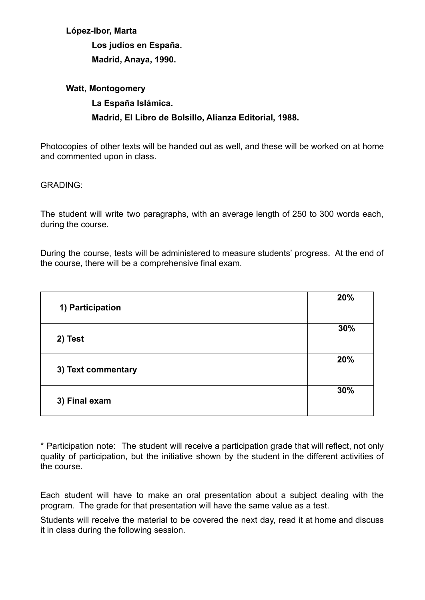## **López-Ibor, Marta**

**Los judíos en España. Madrid, Anaya, 1990.**

# **Watt, Montogomery La España Islámica. Madrid, El Libro de Bolsillo, Alianza Editorial, 1988.**

Photocopies of other texts will be handed out as well, and these will be worked on at home and commented upon in class.

#### GRADING:

The student will write two paragraphs, with an average length of 250 to 300 words each, during the course.

During the course, tests will be administered to measure students' progress. At the end of the course, there will be a comprehensive final exam.

| 1) Participation   | 20% |
|--------------------|-----|
| 2) Test            | 30% |
| 3) Text commentary | 20% |
| 3) Final exam      | 30% |

\* Participation note: The student will receive a participation grade that will reflect, not only quality of participation, but the initiative shown by the student in the different activities of the course.

Each student will have to make an oral presentation about a subject dealing with the program. The grade for that presentation will have the same value as a test.

Students will receive the material to be covered the next day, read it at home and discuss it in class during the following session.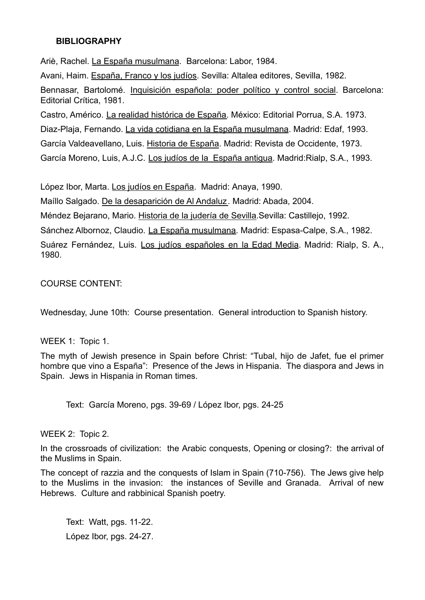#### **BIBLIOGRAPHY**

Ariè, Rachel. La España musulmana. Barcelona: Labor, 1984.

Avani, Haim. España, Franco y los judíos. Sevilla: Altalea editores, Sevilla, 1982.

Bennasar, Bartolomé. Inquisición española: poder político y control social. Barcelona: Editorial Crítica, 1981.

Castro, Américo. La realidad histórica de España. México: Editorial Porrua, S.A. 1973. Diaz-Plaja, Fernando. La vida cotidiana en la España musulmana. Madrid: Edaf, 1993.

García Valdeavellano, Luis. Historia de España. Madrid: Revista de Occidente, 1973.

García Moreno, Luis, A.J.C. Los judíos de la España antigua. Madrid:Rialp, S.A., 1993.

López Ibor, Marta. Los judíos en España. Madrid: Anaya, 1990.

Maíllo Salgado. De la desaparición de Al Andaluz. Madrid: Abada, 2004.

Méndez Bejarano, Mario. Historia de la judería de Sevilla.Sevilla: Castillejo, 1992.

Sánchez Albornoz, Claudio. La España musulmana. Madrid: Espasa-Calpe, S.A., 1982.

Suárez Fernández, Luis. Los judíos españoles en la Edad Media. Madrid: Rialp, S. A., 1980.

COURSE CONTENT:

Wednesday, June 10th: Course presentation. General introduction to Spanish history.

WEEK 1: Topic 1.

The myth of Jewish presence in Spain before Christ: "Tubal, hijo de Jafet, fue el primer hombre que vino a España": Presence of the Jews in Hispania. The diaspora and Jews in Spain. Jews in Hispania in Roman times.

Text: García Moreno, pgs. 39-69 / López Ibor, pgs. 24-25

WEEK 2: Topic 2.

In the crossroads of civilization: the Arabic conquests, Opening or closing?: the arrival of the Muslims in Spain.

The concept of razzia and the conquests of Islam in Spain (710-756). The Jews give help to the Muslims in the invasion: the instances of Seville and Granada. Arrival of new Hebrews. Culture and rabbinical Spanish poetry.

Text: Watt, pgs. 11-22. López Ibor, pgs. 24-27.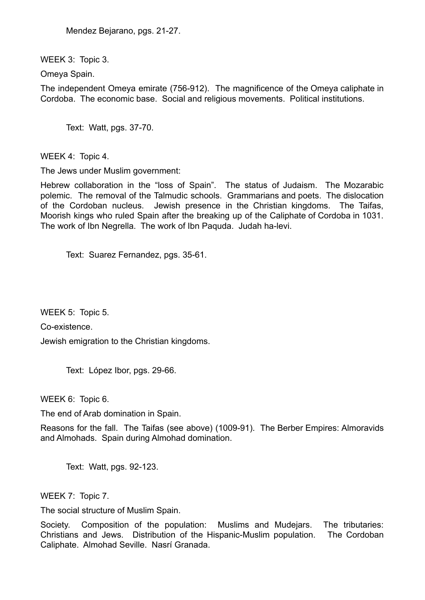Mendez Bejarano, pgs. 21-27.

WEEK 3: Topic 3.

Omeya Spain.

The independent Omeya emirate (756-912). The magnificence of the Omeya caliphate in Cordoba. The economic base. Social and religious movements. Political institutions.

Text: Watt, pgs. 37-70.

WEEK 4: Topic 4.

The Jews under Muslim government:

Hebrew collaboration in the "loss of Spain". The status of Judaism. The Mozarabic polemic. The removal of the Talmudic schools. Grammarians and poets. The dislocation of the Cordoban nucleus. Jewish presence in the Christian kingdoms. The Taifas, Moorish kings who ruled Spain after the breaking up of the Caliphate of Cordoba in 1031. The work of Ibn Negrella. The work of Ibn Paquda. Judah ha-levi.

Text: Suarez Fernandez, pgs. 35-61.

WEEK 5: Topic 5.

Co-existence.

Jewish emigration to the Christian kingdoms.

Text: López Ibor, pgs. 29-66.

WEEK 6: Topic 6.

The end of Arab domination in Spain.

Reasons for the fall. The Taifas (see above) (1009-91). The Berber Empires: Almoravids and Almohads. Spain during Almohad domination.

Text: Watt, pgs. 92-123.

WEEK 7: Topic 7.

The social structure of Muslim Spain.

Society. Composition of the population: Muslims and Mudejars. The tributaries: Christians and Jews. Distribution of the Hispanic-Muslim population. The Cordoban Caliphate. Almohad Seville. Nasrí Granada.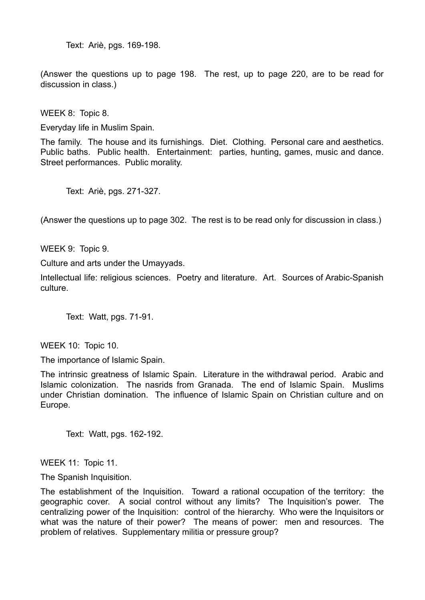Text: Ariè, pgs. 169-198.

(Answer the questions up to page 198. The rest, up to page 220, are to be read for discussion in class.)

WEEK 8: Topic 8.

Everyday life in Muslim Spain.

The family. The house and its furnishings. Diet. Clothing. Personal care and aesthetics. Public baths. Public health. Entertainment: parties, hunting, games, music and dance. Street performances. Public morality.

Text: Ariè, pgs. 271-327.

(Answer the questions up to page 302. The rest is to be read only for discussion in class.)

WEEK 9: Topic 9.

Culture and arts under the Umayyads.

Intellectual life: religious sciences. Poetry and literature. Art. Sources of Arabic-Spanish culture.

Text: Watt, pgs. 71-91.

WEEK 10: Topic 10.

The importance of Islamic Spain.

The intrinsic greatness of Islamic Spain. Literature in the withdrawal period. Arabic and Islamic colonization. The nasrids from Granada. The end of Islamic Spain. Muslims under Christian domination. The influence of Islamic Spain on Christian culture and on Europe.

Text: Watt, pgs. 162-192.

WEEK 11: Topic 11.

The Spanish Inquisition.

The establishment of the Inquisition. Toward a rational occupation of the territory: the geographic cover. A social control without any limits? The Inquisition's power. The centralizing power of the Inquisition: control of the hierarchy. Who were the Inquisitors or what was the nature of their power? The means of power: men and resources. The problem of relatives. Supplementary militia or pressure group?